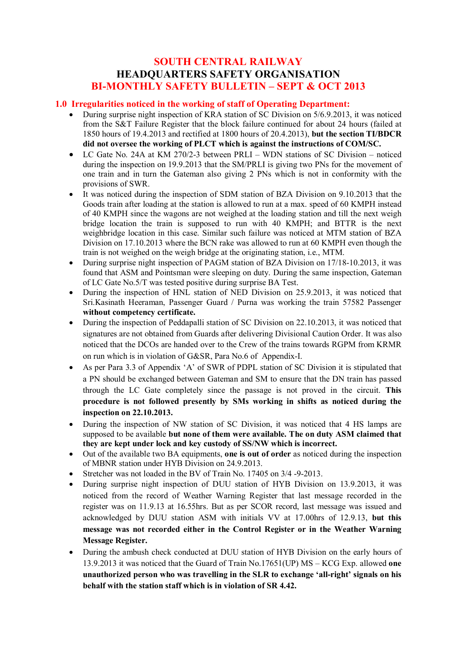### **SOUTH CENTRAL RAILWAY HEADQUARTERS SAFETY ORGANISATION BI-MONTHLY SAFETY BULLETIN – SEPT & OCT 2013**

### **1.0 Irregularities noticed in the working of staff of Operating Department:**

- During surprise night inspection of KRA station of SC Division on 5/6.9.2013, it was noticed from the S&T Failure Register that the block failure continued for about 24 hours (failed at 1850 hours of 19.4.2013 and rectified at 1800 hours of 20.4.2013), **but the section TI/BDCR did not oversee the working of PLCT which is against the instructions of COM/SC.**
- · LC Gate No. 24A at KM 270/2-3 between PRLI WDN stations of SC Division noticed during the inspection on 19.9.2013 that the SM/PRLI is giving two PNs for the movement of one train and in turn the Gateman also giving 2 PNs which is not in conformity with the provisions of SWR.
- It was noticed during the inspection of SDM station of BZA Division on 9.10.2013 that the Goods train after loading at the station is allowed to run at a max. speed of 60 KMPH instead of 40 KMPH since the wagons are not weighed at the loading station and till the next weigh bridge location the train is supposed to run with 40 KMPH; and BTTR is the next weighbridge location in this case. Similar such failure was noticed at MTM station of BZA Division on 17.10.2013 where the BCN rake was allowed to run at 60 KMPH even though the train is not weighed on the weigh bridge at the originating station, i.e., MTM.
- During surprise night inspection of PAGM station of BZA Division on 17/18-10.2013, it was found that ASM and Pointsman were sleeping on duty. During the same inspection, Gateman of LC Gate No.5/T was tested positive during surprise BA Test.
- During the inspection of HNL station of NED Division on 25.9.2013, it was noticed that Sri.Kasinath Heeraman, Passenger Guard / Purna was working the train 57582 Passenger **without competency certificate.**
- During the inspection of Peddapalli station of SC Division on 22.10.2013, it was noticed that signatures are not obtained from Guards after delivering Divisional Caution Order. It was also noticed that the DCOs are handed over to the Crew of the trains towards RGPM from KRMR on run which is in violation of G&SR, Para No.6 of Appendix-I.
- As per Para 3.3 of Appendix 'A' of SWR of PDPL station of SC Division it is stipulated that a PN should be exchanged between Gateman and SM to ensure that the DN train has passed through the LC Gate completely since the passage is not proved in the circuit. **This procedure is not followed presently by SMs working in shifts as noticed during the inspection on 22.10.2013.**
- During the inspection of NW station of SC Division, it was noticed that 4 HS lamps are supposed to be available **but none of them were available. The on duty ASM claimed that they are kept under lock and key custody of SS/NW which is incorrect.**
- · Out of the available two BA equipments, **one is out of order** as noticed during the inspection of MBNR station under HYB Division on 24.9.2013.
- Stretcher was not loaded in the BV of Train No. 17405 on 3/4 -9-2013.
- During surprise night inspection of DUU station of HYB Division on 13.9.2013, it was noticed from the record of Weather Warning Register that last message recorded in the register was on 11.9.13 at 16.55hrs. But as per SCOR record, last message was issued and acknowledged by DUU station ASM with initials VV at 17.00hrs of 12.9.13, **but this message was not recorded either in the Control Register or in the Weather Warning Message Register.**
- During the ambush check conducted at DUU station of HYB Division on the early hours of 13.9.2013 it was noticed that the Guard of Train No.17651(UP) MS – KCG Exp. allowed **one unauthorized person who was travelling in the SLR to exchange 'all-right' signals on his behalf with the station staff which is in violation of SR 4.42.**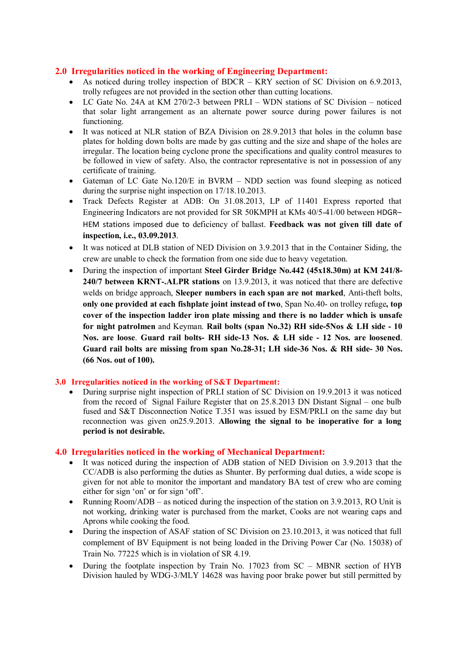### **2.0 Irregularities noticed in the working of Engineering Department:**

- As noticed during trolley inspection of BDCR KRY section of SC Division on 6.9.2013, trolly refugees are not provided in the section other than cutting locations.
- · LC Gate No. 24A at KM 270/2-3 between PRLI WDN stations of SC Division noticed that solar light arrangement as an alternate power source during power failures is not functioning.
- · It was noticed at NLR station of BZA Division on 28.9.2013 that holes in the column base plates for holding down bolts are made by gas cutting and the size and shape of the holes are irregular. The location being cyclone prone the specifications and quality control measures to be followed in view of safety. Also, the contractor representative is not in possession of any certificate of training.
- Gateman of LC Gate No.120/E in BVRM NDD section was found sleeping as noticed during the surprise night inspection on 17/18.10.2013.
- · Track Defects Register at ADB: On 31.08.2013, LP of 11401 Express reported that Engineering Indicators are not provided for SR 50KMPH at KMs 40/5-41/00 between HDGR– HEM stations imposed due to deficiency of ballast. **Feedback was not given till date of inspection, i.e., 03.09.2013**.
- It was noticed at DLB station of NED Division on 3.9.2013 that in the Container Siding, the crew are unable to check the formation from one side due to heavy vegetation.
- · During the inspection of important **Steel Girder Bridge No.442 (45x18.30m) at KM 241/8- 240/7 between KRNT-.ALPR stations** on 13.9.2013, it was noticed that there are defective welds on bridge approach, **Sleeper numbers in each span are not marked**, Anti-theft bolts, **only one provided at each fishplate joint instead of two**, Span No.40- on trolley refuge**, top cover of the inspection ladder iron plate missing and there is no ladder which is unsafe for night patrolmen** and Keyman. **Rail bolts (span No.32) RH side-5Nos & LH side - 10 Nos. are loose**. **Guard rail bolts- RH side-13 Nos. & LH side - 12 Nos. are loosened**. **Guard rail bolts are missing from span No.28-31; LH side-36 Nos. & RH side- 30 Nos. (66 Nos. out of 100).**

#### **3.0 Irregularities noticed in the working of S&T Department:**

· During surprise night inspection of PRLI station of SC Division on 19.9.2013 it was noticed from the record of Signal Failure Register that on 25.8.2013 DN Distant Signal – one bulb fused and S&T Disconnection Notice T.351 was issued by ESM/PRLI on the same day but reconnection was given on25.9.2013. **Allowing the signal to be inoperative for a long period is not desirable.**

#### **4.0 Irregularities noticed in the working of Mechanical Department:**

- It was noticed during the inspection of ADB station of NED Division on 3.9.2013 that the CC/ADB is also performing the duties as Shunter. By performing dual duties, a wide scope is given for not able to monitor the important and mandatory BA test of crew who are coming either for sign 'on' or for sign 'off'.
- Running Room/ADB as noticed during the inspection of the station on 3.9.2013, RO Unit is not working, drinking water is purchased from the market, Cooks are not wearing caps and Aprons while cooking the food.
- During the inspection of ASAF station of SC Division on 23.10.2013, it was noticed that full complement of BV Equipment is not being loaded in the Driving Power Car (No. 15038) of Train No. 77225 which is in violation of SR 4.19.
- During the footplate inspection by Train No. 17023 from SC MBNR section of HYB Division hauled by WDG-3/MLY 14628 was having poor brake power but still permitted by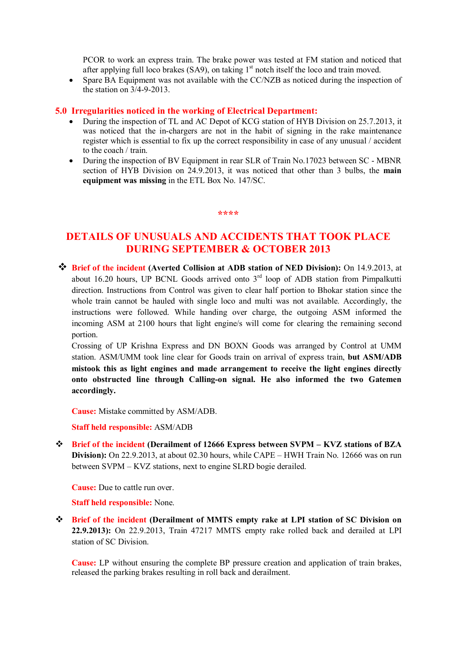PCOR to work an express train. The brake power was tested at FM station and noticed that after applying full loco brakes  $(SA9)$ , on taking  $1<sup>st</sup>$  notch itself the loco and train moved.

• Spare BA Equipment was not available with the CC/NZB as noticed during the inspection of the station on 3/4-9-2013.

#### **5.0 Irregularities noticed in the working of Electrical Department:**

- · During the inspection of TL and AC Depot of KCG station of HYB Division on 25.7.2013, it was noticed that the in-chargers are not in the habit of signing in the rake maintenance register which is essential to fix up the correct responsibility in case of any unusual / accident to the coach / train.
- During the inspection of BV Equipment in rear SLR of Train No.17023 between SC MBNR section of HYB Division on 24.9.2013, it was noticed that other than 3 bulbs, the **main equipment was missing** in the ETL Box No. 147/SC.

#### **\*\*\*\***

## **DETAILS OF UNUSUALS AND ACCIDENTS THAT TOOK PLACE DURING SEPTEMBER & OCTOBER 2013**

v **Brief of the incident (Averted Collision at ADB station of NED Division):** On 14.9.2013, at about 16.20 hours, UP BCNL Goods arrived onto  $3<sup>rd</sup>$  loop of ADB station from Pimpalkutti direction. Instructions from Control was given to clear half portion to Bhokar station since the whole train cannot be hauled with single loco and multi was not available. Accordingly, the instructions were followed. While handing over charge, the outgoing ASM informed the incoming ASM at 2100 hours that light engine/s will come for clearing the remaining second portion.

Crossing of UP Krishna Express and DN BOXN Goods was arranged by Control at UMM station. ASM/UMM took line clear for Goods train on arrival of express train, **but ASM/ADB mistook this as light engines and made arrangement to receive the light engines directly onto obstructed line through Calling-on signal. He also informed the two Gatemen accordingly.** 

**Cause:** Mistake committed by ASM/ADB.

**Staff held responsible:** ASM/ADB

v **Brief of the incident (Derailment of 12666 Express between SVPM – KVZ stations of BZA Division):** On 22.9.2013, at about 02.30 hours, while CAPE – HWH Train No. 12666 was on run between SVPM – KVZ stations, next to engine SLRD bogie derailed.

**Cause:** Due to cattle run over.

**Staff held responsible:** None.

v **Brief of the incident (Derailment of MMTS empty rake at LPI station of SC Division on 22.9.2013):** On 22.9.2013, Train 47217 MMTS empty rake rolled back and derailed at LPI station of SC Division.

**Cause:** LP without ensuring the complete BP pressure creation and application of train brakes, released the parking brakes resulting in roll back and derailment.